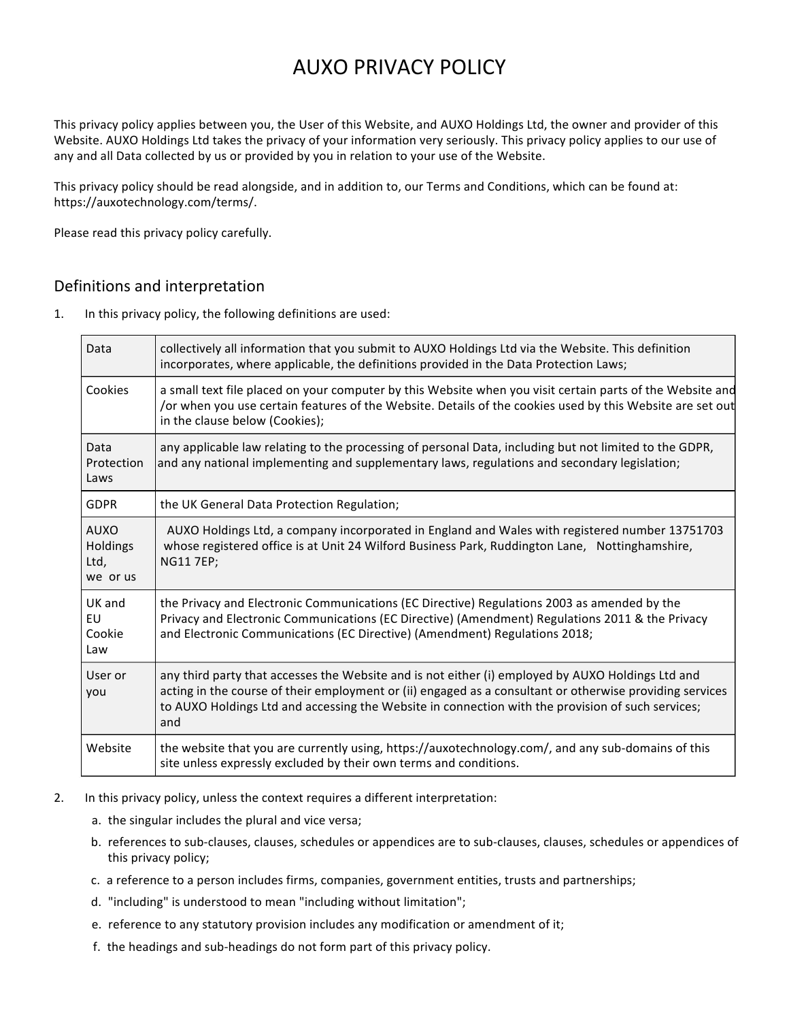# AUXO PRIVACY POLICY

This privacy policy applies between you, the User of this Website, and AUXO Holdings Ltd, the owner and provider of this Website. AUXO Holdings Ltd takes the privacy of your information very seriously. This privacy policy applies to our use of any and all Data collected by us or provided by you in relation to your use of the Website.

This privacy policy should be read alongside, and in addition to, our Terms and Conditions, which can be found at: https://auxotechnology.com/terms/.

Please read this privacy policy carefully.

## Definitions and interpretation

1. In this privacy policy, the following definitions are used:

| Data                                        | collectively all information that you submit to AUXO Holdings Ltd via the Website. This definition<br>incorporates, where applicable, the definitions provided in the Data Protection Laws;                                                                                                                               |
|---------------------------------------------|---------------------------------------------------------------------------------------------------------------------------------------------------------------------------------------------------------------------------------------------------------------------------------------------------------------------------|
| Cookies                                     | a small text file placed on your computer by this Website when you visit certain parts of the Website and<br>/or when you use certain features of the Website. Details of the cookies used by this Website are set out<br>in the clause below (Cookies);                                                                  |
| Data<br>Protection<br>Laws                  | any applicable law relating to the processing of personal Data, including but not limited to the GDPR,<br>and any national implementing and supplementary laws, regulations and secondary legislation;                                                                                                                    |
| <b>GDPR</b>                                 | the UK General Data Protection Regulation;                                                                                                                                                                                                                                                                                |
| <b>AUXO</b><br>Holdings<br>Ltd,<br>we or us | AUXO Holdings Ltd, a company incorporated in England and Wales with registered number 13751703<br>whose registered office is at Unit 24 Wilford Business Park, Ruddington Lane, Nottinghamshire,<br><b>NG11 7EP;</b>                                                                                                      |
| UK and<br>EU<br>Cookie<br>Law               | the Privacy and Electronic Communications (EC Directive) Regulations 2003 as amended by the<br>Privacy and Electronic Communications (EC Directive) (Amendment) Regulations 2011 & the Privacy<br>and Electronic Communications (EC Directive) (Amendment) Regulations 2018;                                              |
| User or<br>you                              | any third party that accesses the Website and is not either (i) employed by AUXO Holdings Ltd and<br>acting in the course of their employment or (ii) engaged as a consultant or otherwise providing services<br>to AUXO Holdings Ltd and accessing the Website in connection with the provision of such services;<br>and |
| Website                                     | the website that you are currently using, https://auxotechnology.com/, and any sub-domains of this<br>site unless expressly excluded by their own terms and conditions.                                                                                                                                                   |

- 2. In this privacy policy, unless the context requires a different interpretation:
	- a. the singular includes the plural and vice versa;
	- b. references to sub-clauses, clauses, schedules or appendices are to sub-clauses, clauses, schedules or appendices of this privacy policy;
	- c. a reference to a person includes firms, companies, government entities, trusts and partnerships;
	- d. "including" is understood to mean "including without limitation";
	- e. reference to any statutory provision includes any modification or amendment of it;
	- f. the headings and sub-headings do not form part of this privacy policy.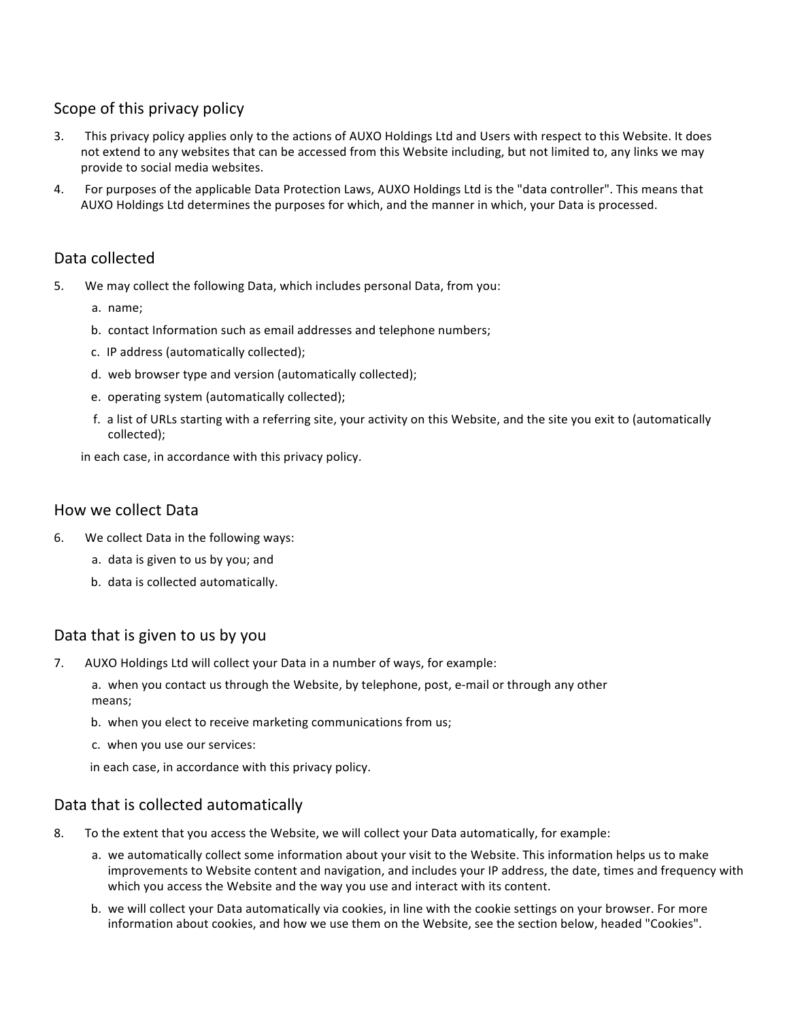# Scope of this privacy policy

- 3. This privacy policy applies only to the actions of AUXO Holdings Ltd and Users with respect to this Website. It does not extend to any websites that can be accessed from this Website including, but not limited to, any links we may provide to social media websites.
- 4. For purposes of the applicable Data Protection Laws, AUXO Holdings Ltd is the "data controller". This means that AUXO Holdings Ltd determines the purposes for which, and the manner in which, your Data is processed.

## Data collected

- 5. We may collect the following Data, which includes personal Data, from you:
	- a. name;
	- b. contact Information such as email addresses and telephone numbers;
	- c. IP address (automatically collected);
	- d. web browser type and version (automatically collected);
	- e. operating system (automatically collected);
	- f. a list of URLs starting with a referring site, your activity on this Website, and the site you exit to (automatically collected);
	- in each case, in accordance with this privacy policy.

#### How we collect Data

- 6. We collect Data in the following ways:
	- a. data is given to us by you; and
	- b. data is collected automatically.

#### Data that is given to us by you

7. AUXO Holdings Ltd will collect your Data in a number of ways, for example:

a. when you contact us through the Website, by telephone, post, e-mail or through any other means;

- b. when you elect to receive marketing communications from us;
- c. when you use our services:

in each case, in accordance with this privacy policy.

#### Data that is collected automatically

- 8. To the extent that you access the Website, we will collect your Data automatically, for example:
	- a. we automatically collect some information about your visit to the Website. This information helps us to make improvements to Website content and navigation, and includes your IP address, the date, times and frequency with which you access the Website and the way you use and interact with its content.
	- b. we will collect your Data automatically via cookies, in line with the cookie settings on your browser. For more information about cookies, and how we use them on the Website, see the section below, headed "Cookies".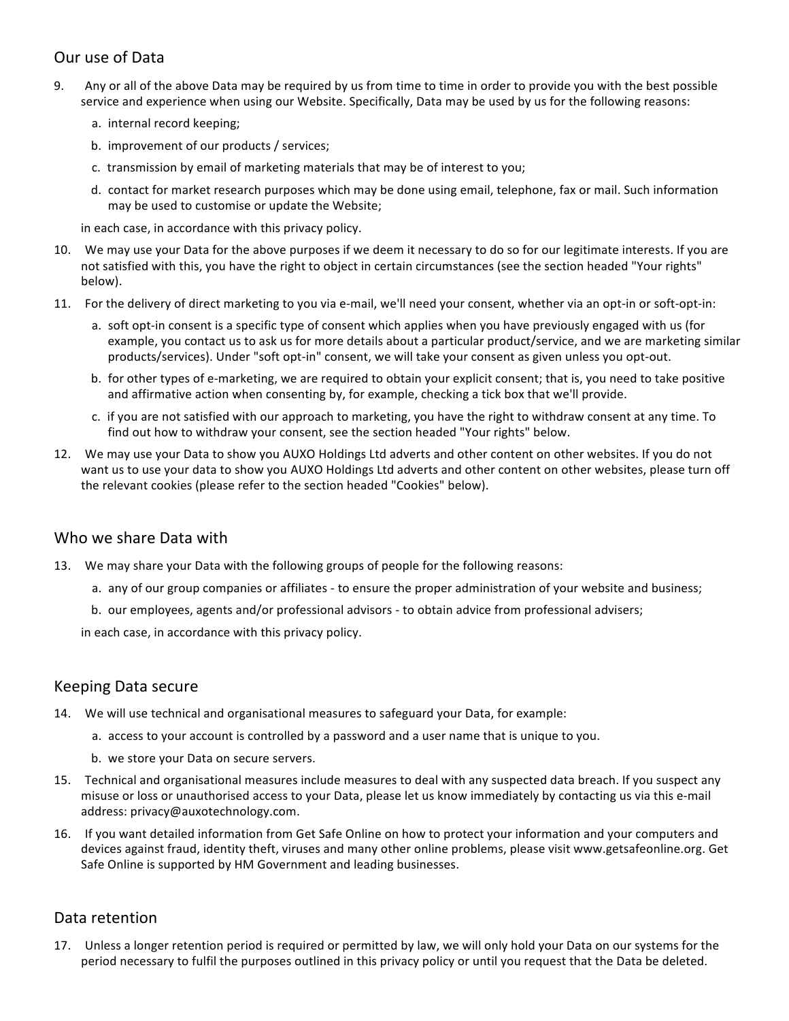# Our use of Data

- 9. Any or all of the above Data may be required by us from time to time in order to provide you with the best possible service and experience when using our Website. Specifically, Data may be used by us for the following reasons:
	- a. internal record keeping;
	- b. improvement of our products / services;
	- c. transmission by email of marketing materials that may be of interest to you;
	- d. contact for market research purposes which may be done using email, telephone, fax or mail. Such information may be used to customise or update the Website;

in each case, in accordance with this privacy policy.

- 10. We may use your Data for the above purposes if we deem it necessary to do so for our legitimate interests. If you are not satisfied with this, you have the right to object in certain circumstances (see the section headed "Your rights" below).
- 11. For the delivery of direct marketing to you via e-mail, we'll need your consent, whether via an opt-in or soft-opt-in:
	- a. soft opt-in consent is a specific type of consent which applies when you have previously engaged with us (for example, you contact us to ask us for more details about a particular product/service, and we are marketing similar products/services). Under "soft opt-in" consent, we will take your consent as given unless you opt-out.
	- b. for other types of e-marketing, we are required to obtain your explicit consent; that is, you need to take positive and affirmative action when consenting by, for example, checking a tick box that we'll provide.
	- c. if you are not satisfied with our approach to marketing, you have the right to withdraw consent at any time. To find out how to withdraw your consent, see the section headed "Your rights" below.
- 12. We may use your Data to show you AUXO Holdings Ltd adverts and other content on other websites. If you do not want us to use your data to show you AUXO Holdings Ltd adverts and other content on other websites, please turn off the relevant cookies (please refer to the section headed "Cookies" below).

#### Who we share Data with

- 13. We may share your Data with the following groups of people for the following reasons:
	- a. any of our group companies or affiliates to ensure the proper administration of your website and business;
	- b. our employees, agents and/or professional advisors to obtain advice from professional advisers;

in each case, in accordance with this privacy policy.

#### Keeping Data secure

- 14. We will use technical and organisational measures to safeguard your Data, for example:
	- a. access to your account is controlled by a password and a user name that is unique to you.
	- b. we store your Data on secure servers.
- 15. Technical and organisational measures include measures to deal with any suspected data breach. If you suspect any misuse or loss or unauthorised access to your Data, please let us know immediately by contacting us via this e-mail address: privacy@auxotechnology.com.
- 16. If you want detailed information from Get Safe Online on how to protect your information and your computers and devices against fraud, identity theft, viruses and many other online problems, please visit www.getsafeonline.org. Get Safe Online is supported by HM Government and leading businesses.

## Data retention

17. Unless a longer retention period is required or permitted by law, we will only hold your Data on our systems for the period necessary to fulfil the purposes outlined in this privacy policy or until you request that the Data be deleted.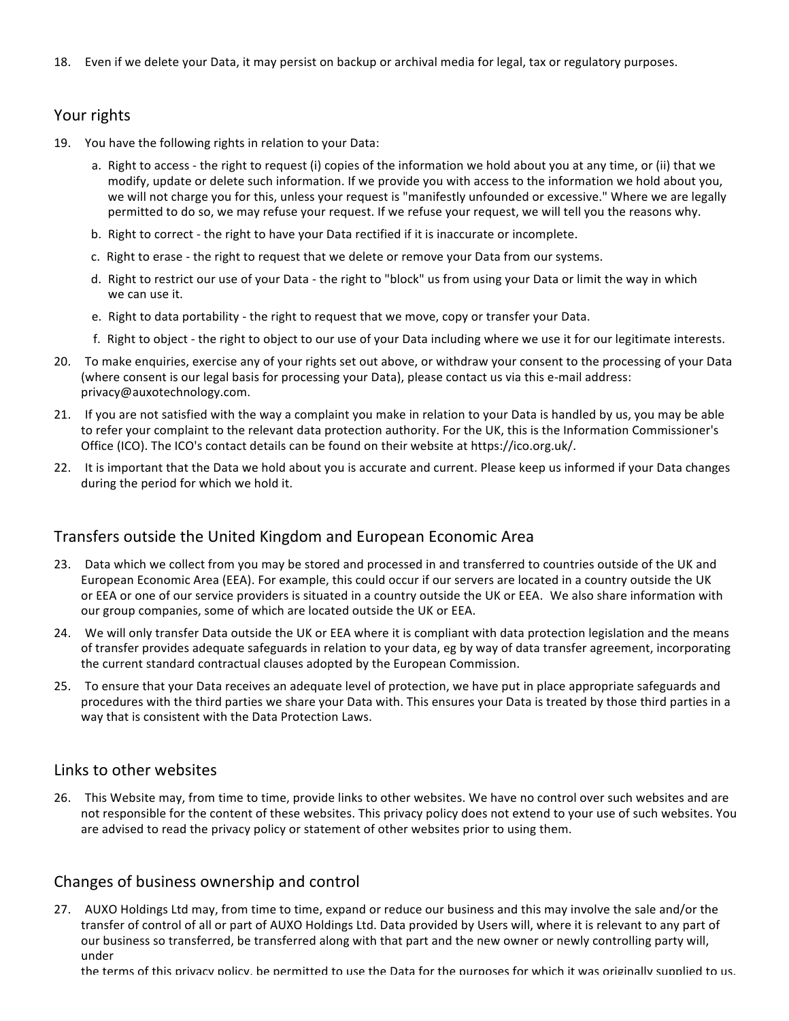18. Even if we delete your Data, it may persist on backup or archival media for legal, tax or regulatory purposes.

# Your rights

- 19. You have the following rights in relation to your Data:
	- a. Right to access the right to request (i) copies of the information we hold about you at any time, or (ii) that we modify, update or delete such information. If we provide you with access to the information we hold about you, we will not charge you for this, unless your request is "manifestly unfounded or excessive." Where we are legally permitted to do so, we may refuse your request. If we refuse your request, we will tell you the reasons why.
	- b. Right to correct the right to have your Data rectified if it is inaccurate or incomplete.
	- c. Right to erase the right to request that we delete or remove your Data from our systems.
	- d. Right to restrict our use of your Data the right to "block" us from using your Data or limit the way in which we can use it.
	- e. Right to data portability the right to request that we move, copy or transfer your Data.
	- f. Right to object the right to object to our use of your Data including where we use it for our legitimate interests.
- 20. To make enquiries, exercise any of your rights set out above, or withdraw your consent to the processing of your Data (where consent is our legal basis for processing your Data), please contact us via this e-mail address: privacy@auxotechnology.com.
- 21. If you are not satisfied with the way a complaint you make in relation to your Data is handled by us, you may be able to refer your complaint to the relevant data protection authority. For the UK, this is the Information Commissioner's Office (ICO). The ICO's contact details can be found on their website at https://ico.org.uk/.
- 22. It is important that the Data we hold about you is accurate and current. Please keep us informed if your Data changes during the period for which we hold it.

## Transfers outside the United Kingdom and European Economic Area

- 23. Data which we collect from you may be stored and processed in and transferred to countries outside of the UK and European Economic Area (EEA). For example, this could occur if our servers are located in a country outside the UK or EEA or one of our service providers is situated in a country outside the UK or EEA. We also share information with our group companies, some of which are located outside the UK or EEA.
- 24. We will only transfer Data outside the UK or EEA where it is compliant with data protection legislation and the means of transfer provides adequate safeguards in relation to your data, eg by way of data transfer agreement, incorporating the current standard contractual clauses adopted by the European Commission.
- 25. To ensure that your Data receives an adequate level of protection, we have put in place appropriate safeguards and procedures with the third parties we share your Data with. This ensures your Data is treated by those third parties in a way that is consistent with the Data Protection Laws.

#### Links to other websites

26. This Website may, from time to time, provide links to other websites. We have no control over such websites and are not responsible for the content of these websites. This privacy policy does not extend to your use of such websites. You are advised to read the privacy policy or statement of other websites prior to using them.

## Changes of business ownership and control

27. AUXO Holdings Ltd may, from time to time, expand or reduce our business and this may involve the sale and/or the transfer of control of all or part of AUXO Holdings Ltd. Data provided by Users will, where it is relevant to any part of our business so transferred, be transferred along with that part and the new owner or newly controlling party will, under

the terms of this privacy policy, be permitted to use the Data for the purposes for which it was originally supplied to us.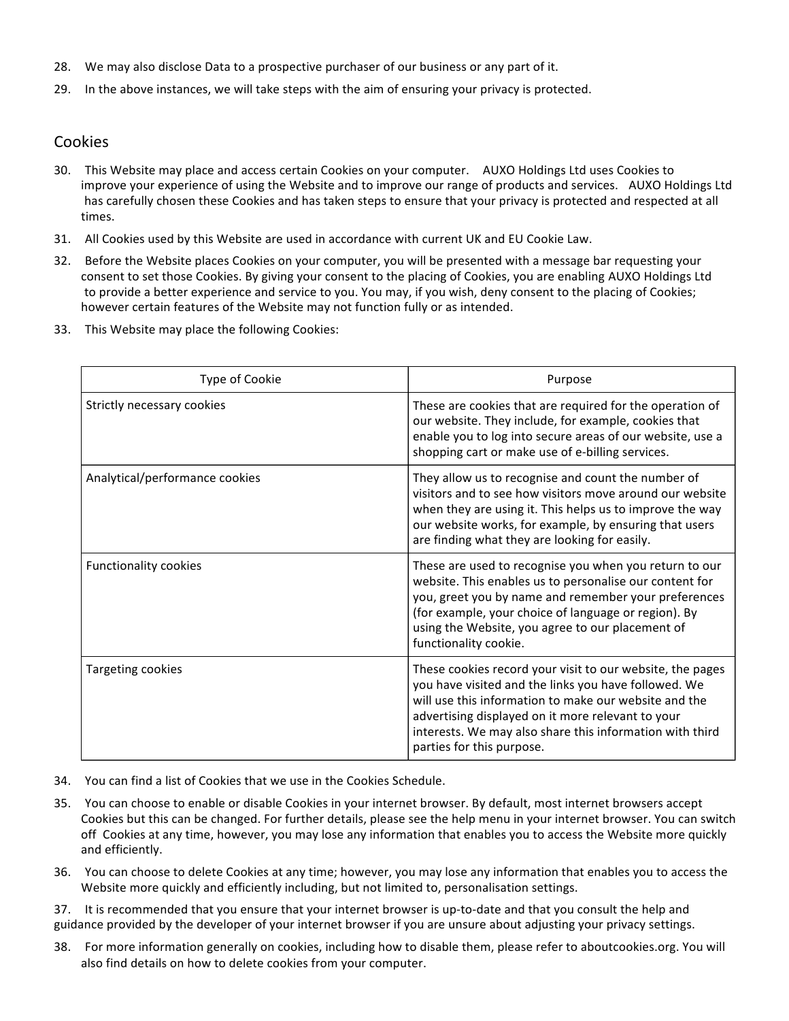- 28. We may also disclose Data to a prospective purchaser of our business or any part of it.
- 29. In the above instances, we will take steps with the aim of ensuring your privacy is protected.

#### Cookies

- 30. This Website may place and access certain Cookies on your computer. AUXO Holdings Ltd uses Cookies to improve your experience of using the Website and to improve our range of products and services. AUXO Holdings Ltd has carefully chosen these Cookies and has taken steps to ensure that your privacy is protected and respected at all times.
- 31. All Cookies used by this Website are used in accordance with current UK and EU Cookie Law.
- 32. Before the Website places Cookies on your computer, you will be presented with a message bar requesting your consent to set those Cookies. By giving your consent to the placing of Cookies, you are enabling AUXO Holdings Ltd to provide a better experience and service to you. You may, if you wish, deny consent to the placing of Cookies; however certain features of the Website may not function fully or as intended.
- 33. This Website may place the following Cookies:

| Type of Cookie                 | Purpose                                                                                                                                                                                                                                                                                                                  |
|--------------------------------|--------------------------------------------------------------------------------------------------------------------------------------------------------------------------------------------------------------------------------------------------------------------------------------------------------------------------|
| Strictly necessary cookies     | These are cookies that are required for the operation of<br>our website. They include, for example, cookies that<br>enable you to log into secure areas of our website, use a<br>shopping cart or make use of e-billing services.                                                                                        |
| Analytical/performance cookies | They allow us to recognise and count the number of<br>visitors and to see how visitors move around our website<br>when they are using it. This helps us to improve the way<br>our website works, for example, by ensuring that users<br>are finding what they are looking for easily.                                    |
| Functionality cookies          | These are used to recognise you when you return to our<br>website. This enables us to personalise our content for<br>you, greet you by name and remember your preferences<br>(for example, your choice of language or region). By<br>using the Website, you agree to our placement of<br>functionality cookie.           |
| Targeting cookies              | These cookies record your visit to our website, the pages<br>you have visited and the links you have followed. We<br>will use this information to make our website and the<br>advertising displayed on it more relevant to your<br>interests. We may also share this information with third<br>parties for this purpose. |

- 34. You can find a list of Cookies that we use in the Cookies Schedule.
- 35. You can choose to enable or disable Cookies in your internet browser. By default, most internet browsers accept Cookies but this can be changed. For further details, please see the help menu in your internet browser. You can switch off Cookies at any time, however, you may lose any information that enables you to access the Website more quickly and efficiently.
- 36. You can choose to delete Cookies at any time; however, you may lose any information that enables you to access the Website more quickly and efficiently including, but not limited to, personalisation settings.

37. It is recommended that you ensure that your internet browser is up-to-date and that you consult the help and guidance provided by the developer of your internet browser if you are unsure about adjusting your privacy settings.

38. For more information generally on cookies, including how to disable them, please refer to aboutcookies.org. You will also find details on how to delete cookies from your computer.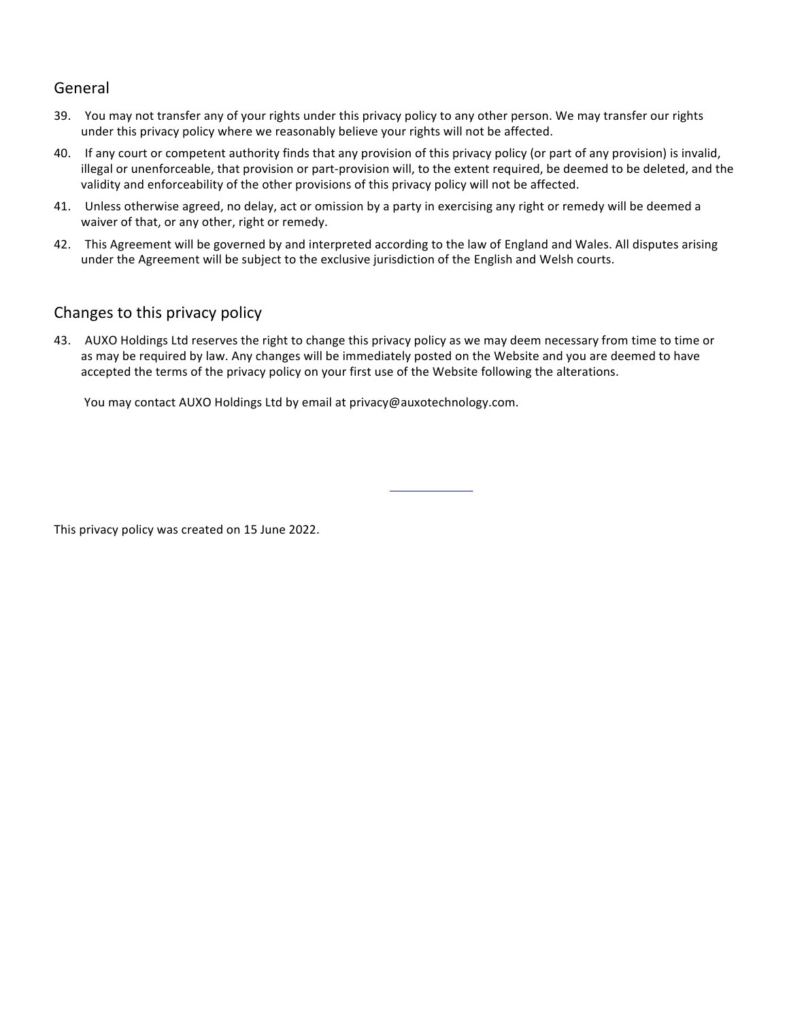## General

- 39. You may not transfer any of your rights under this privacy policy to any other person. We may transfer our rights under this privacy policy where we reasonably believe your rights will not be affected.
- 40. If any court or competent authority finds that any provision of this privacy policy (or part of any provision) is invalid, illegal or unenforceable, that provision or part-provision will, to the extent required, be deemed to be deleted, and the validity and enforceability of the other provisions of this privacy policy will not be affected.
- 41. Unless otherwise agreed, no delay, act or omission by a party in exercising any right or remedy will be deemed a waiver of that, or any other, right or remedy.
- 42. This Agreement will be governed by and interpreted according to the law of England and Wales. All disputes arising under the Agreement will be subject to the exclusive jurisdiction of the English and Welsh courts.

## Changes to this privacy policy

43. AUXO Holdings Ltd reserves the right to change this privacy policy as we may deem necessary from time to time or as may be required by law. Any changes will be immediately posted on the Website and you are deemed to have accepted the terms of the privacy policy on your first use of the Website following the alterations.

You may contact AUXO Holdings Ltd by email at privacy@auxotechnology.com.

This privacy policy was created on 15 June 2022.